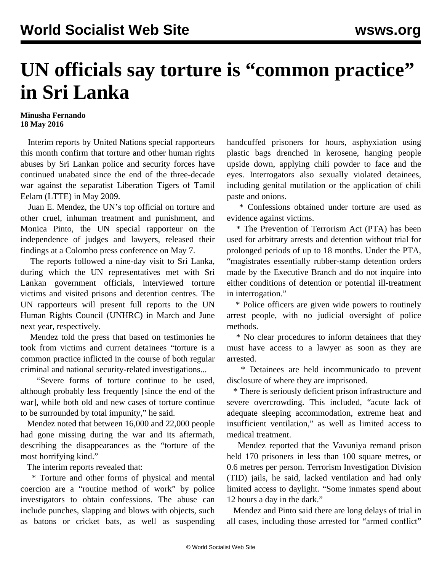## **UN officials say torture is "common practice" in Sri Lanka**

## **Minusha Fernando 18 May 2016**

 Interim reports by United Nations special rapporteurs this month confirm that torture and other human rights abuses by Sri Lankan police and security forces have continued unabated since the end of the three-decade war against the separatist Liberation Tigers of Tamil Eelam (LTTE) in May 2009.

 Juan E. Mendez, the UN's top official on torture and other cruel, inhuman treatment and punishment, and Monica Pinto, the UN special rapporteur on the independence of judges and lawyers, released their findings at a Colombo press conference on May 7.

 The reports followed a nine-day visit to Sri Lanka, during which the UN representatives met with Sri Lankan government officials, interviewed torture victims and visited prisons and detention centres. The UN rapporteurs will present full reports to the UN Human Rights Council (UNHRC) in March and June next year, respectively.

 Mendez told the press that based on testimonies he took from victims and current detainees "torture is a common practice inflicted in the course of both regular criminal and national security-related investigations...

 "Severe forms of torture continue to be used, although probably less frequently [since the end of the war], while both old and new cases of torture continue to be surrounded by total impunity," he said.

 Mendez noted that between 16,000 and 22,000 people had gone missing during the war and its aftermath, describing the disappearances as the "torture of the most horrifying kind."

The interim reports revealed that:

 \* Torture and other forms of physical and mental coercion are a "routine method of work" by police investigators to obtain confessions. The abuse can include punches, slapping and blows with objects, such as batons or cricket bats, as well as suspending handcuffed prisoners for hours, asphyxiation using plastic bags drenched in kerosene, hanging people upside down, applying chili powder to face and the eyes. Interrogators also sexually violated detainees, including genital mutilation or the application of chili paste and onions.

 \* Confessions obtained under torture are used as evidence against victims.

 \* The Prevention of Terrorism Act (PTA) has been used for arbitrary arrests and detention without trial for prolonged periods of up to 18 months. Under the PTA, "magistrates essentially rubber-stamp detention orders made by the Executive Branch and do not inquire into either conditions of detention or potential ill-treatment in interrogation."

 \* Police officers are given wide powers to routinely arrest people, with no judicial oversight of police methods.

 \* No clear procedures to inform detainees that they must have access to a lawyer as soon as they are arrested.

 \* Detainees are held incommunicado to prevent disclosure of where they are imprisoned.

 \* There is seriously deficient prison infrastructure and severe overcrowding. This included, "acute lack of adequate sleeping accommodation, extreme heat and insufficient ventilation," as well as limited access to medical treatment.

 Mendez reported that the Vavuniya remand prison held 170 prisoners in less than 100 square metres, or 0.6 metres per person. Terrorism Investigation Division (TID) jails, he said, lacked ventilation and had only limited access to daylight. "Some inmates spend about 12 hours a day in the dark."

 Mendez and Pinto said there are long delays of trial in all cases, including those arrested for "armed conflict"